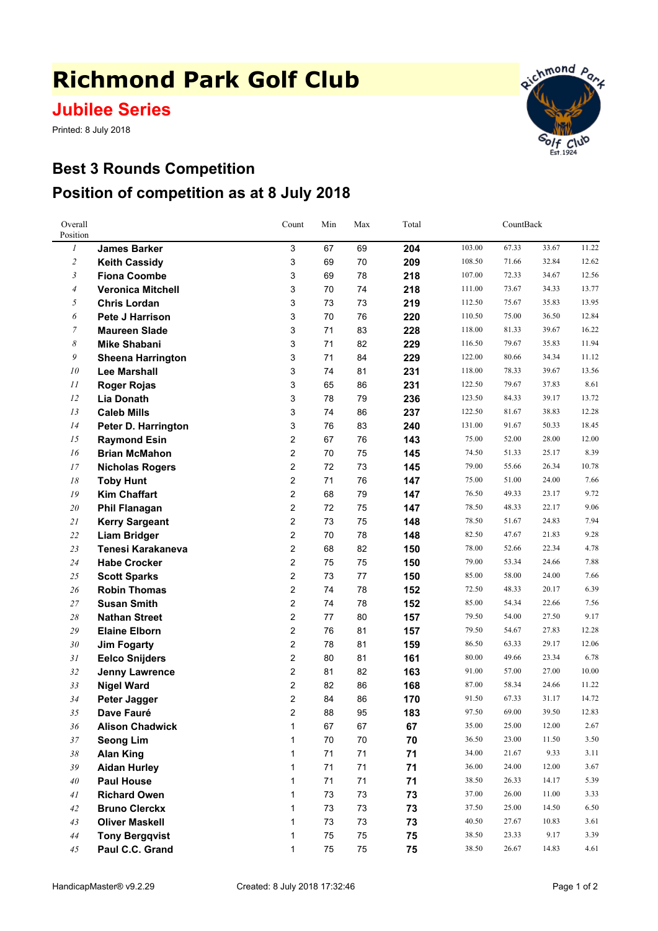## **Richmond Park Golf Club**

## **Jubilee Series**

Printed: 8 July 2018



## **Best 3 Rounds Competition Position of competition as at 8 July 2018**

| Overall<br>Position |                          | Count          | Min | Max        | Total | CountBack |       |       |       |
|---------------------|--------------------------|----------------|-----|------------|-------|-----------|-------|-------|-------|
| $\boldsymbol{l}$    | <b>James Barker</b>      | 3              | 67  | 69         | 204   | 103.00    | 67.33 | 33.67 | 11.22 |
| $\overline{2}$      | <b>Keith Cassidy</b>     | 3              | 69  | 70         | 209   | 108.50    | 71.66 | 32.84 | 12.62 |
| $\mathfrak{Z}$      | <b>Fiona Coombe</b>      | 3              | 69  | 78         | 218   | 107.00    | 72.33 | 34.67 | 12.56 |
| $\overline{4}$      | <b>Veronica Mitchell</b> | 3              | 70  | 74         | 218   | 111.00    | 73.67 | 34.33 | 13.77 |
| 5                   | <b>Chris Lordan</b>      | 3              | 73  | 73         | 219   | 112.50    | 75.67 | 35.83 | 13.95 |
| 6                   | <b>Pete J Harrison</b>   | 3              | 70  | 76         | 220   | 110.50    | 75.00 | 36.50 | 12.84 |
| 7                   | <b>Maureen Slade</b>     | 3              | 71  | 83         | 228   | 118.00    | 81.33 | 39.67 | 16.22 |
| 8                   | <b>Mike Shabani</b>      | 3              | 71  | 82         | 229   | 116.50    | 79.67 | 35.83 | 11.94 |
| 9                   | <b>Sheena Harrington</b> | 3              | 71  | 84         | 229   | 122.00    | 80.66 | 34.34 | 11.12 |
| 10                  | <b>Lee Marshall</b>      | 3              | 74  | 81         | 231   | 118.00    | 78.33 | 39.67 | 13.56 |
| 11                  | <b>Roger Rojas</b>       | 3              | 65  | 86         | 231   | 122.50    | 79.67 | 37.83 | 8.61  |
| 12                  | <b>Lia Donath</b>        | 3              | 78  | 79         | 236   | 123.50    | 84.33 | 39.17 | 13.72 |
| 13                  | <b>Caleb Mills</b>       | 3              | 74  | 86         | 237   | 122.50    | 81.67 | 38.83 | 12.28 |
| 14                  | Peter D. Harrington      | 3              | 76  | 83         | 240   | 131.00    | 91.67 | 50.33 | 18.45 |
| 15                  | <b>Raymond Esin</b>      | 2              | 67  | 76         | 143   | 75.00     | 52.00 | 28.00 | 12.00 |
| 16                  | <b>Brian McMahon</b>     | 2              | 70  | 75         | 145   | 74.50     | 51.33 | 25.17 | 8.39  |
| 17                  | <b>Nicholas Rogers</b>   | 2              | 72  | 73         | 145   | 79.00     | 55.66 | 26.34 | 10.78 |
| 18                  | <b>Toby Hunt</b>         | $\overline{2}$ | 71  | 76         | 147   | 75.00     | 51.00 | 24.00 | 7.66  |
| 19                  | <b>Kim Chaffart</b>      | $\overline{2}$ | 68  | 79         | 147   | 76.50     | 49.33 | 23.17 | 9.72  |
| 20                  | <b>Phil Flanagan</b>     | 2              | 72  | 75         | 147   | 78.50     | 48.33 | 22.17 | 9.06  |
| 21                  | <b>Kerry Sargeant</b>    | 2              | 73  | 75         | 148   | 78.50     | 51.67 | 24.83 | 7.94  |
| $22\,$              | <b>Liam Bridger</b>      | 2              | 70  | 78         | 148   | 82.50     | 47.67 | 21.83 | 9.28  |
| 23                  | Tenesi Karakaneva        | 2              | 68  | 82         | 150   | 78.00     | 52.66 | 22.34 | 4.78  |
| 24                  | <b>Habe Crocker</b>      | 2              | 75  | 75         | 150   | 79.00     | 53.34 | 24.66 | 7.88  |
| $25\,$              | <b>Scott Sparks</b>      | 2              | 73  | 77         | 150   | 85.00     | 58.00 | 24.00 | 7.66  |
| 26                  | <b>Robin Thomas</b>      | 2              | 74  | 78         | 152   | 72.50     | 48.33 | 20.17 | 6.39  |
| 27                  | <b>Susan Smith</b>       | 2              | 74  | 78         | 152   | 85.00     | 54.34 | 22.66 | 7.56  |
| 28                  | <b>Nathan Street</b>     | 2              | 77  | 80         | 157   | 79.50     | 54.00 | 27.50 | 9.17  |
| 29                  | <b>Elaine Elborn</b>     | $\overline{2}$ | 76  | 81         | 157   | 79.50     | 54.67 | 27.83 | 12.28 |
| 30                  | <b>Jim Fogarty</b>       | 2              | 78  | 81         | 159   | 86.50     | 63.33 | 29.17 | 12.06 |
| 31                  | <b>Eelco Snijders</b>    | 2              | 80  | 81         | 161   | 80.00     | 49.66 | 23.34 | 6.78  |
| 32                  | <b>Jenny Lawrence</b>    | $\overline{2}$ | 81  | 82         | 163   | 91.00     | 57.00 | 27.00 | 10.00 |
| 33                  | <b>Nigel Ward</b>        | 2              | 82  | 86         | 168   | 87.00     | 58.34 | 24.66 | 11.22 |
| 34                  | Peter Jagger             | 2              | 84  | 86         | 170   | 91.50     | 67.33 | 31.17 | 14.72 |
| 35                  | Dave Fauré               | $\overline{2}$ | 88  | 95         | 183   | 97.50     | 69.00 | 39.50 | 12.83 |
| 36                  | <b>Alison Chadwick</b>   | 1              | 67  | 67         | 67    | 35.00     | 25.00 | 12.00 | 2.67  |
| 37                  | <b>Seong Lim</b>         | 1              | 70  | $70\,$     | 70    | 36.50     | 23.00 | 11.50 | 3.50  |
| $38\,$              | <b>Alan King</b>         | 1              | 71  | 71         | 71    | 34.00     | 21.67 | 9.33  | 3.11  |
| 39                  | <b>Aidan Hurley</b>      | 1              | 71  | 71         | 71    | 36.00     | 24.00 | 12.00 | 3.67  |
| 40                  | <b>Paul House</b>        | 1              | 71  | 71         | 71    | 38.50     | 26.33 | 14.17 | 5.39  |
| 41                  | <b>Richard Owen</b>      | 1              | 73  | $73\,$     | 73    | 37.00     | 26.00 | 11.00 | 3.33  |
| 42                  | <b>Bruno Clerckx</b>     | $\mathbf{1}$   | 73  | $73\,$     | 73    | 37.50     | 25.00 | 14.50 | 6.50  |
| 43                  | <b>Oliver Maskell</b>    | 1              | 73  | $73\,$     | 73    | 40.50     | 27.67 | 10.83 | 3.61  |
| 44                  | <b>Tony Bergqvist</b>    | 1              | 75  | 75         | 75    | 38.50     | 23.33 | 9.17  | 3.39  |
| 45                  | Paul C.C. Grand          | 1              | 75  | ${\bf 75}$ | 75    | 38.50     | 26.67 | 14.83 | 4.61  |